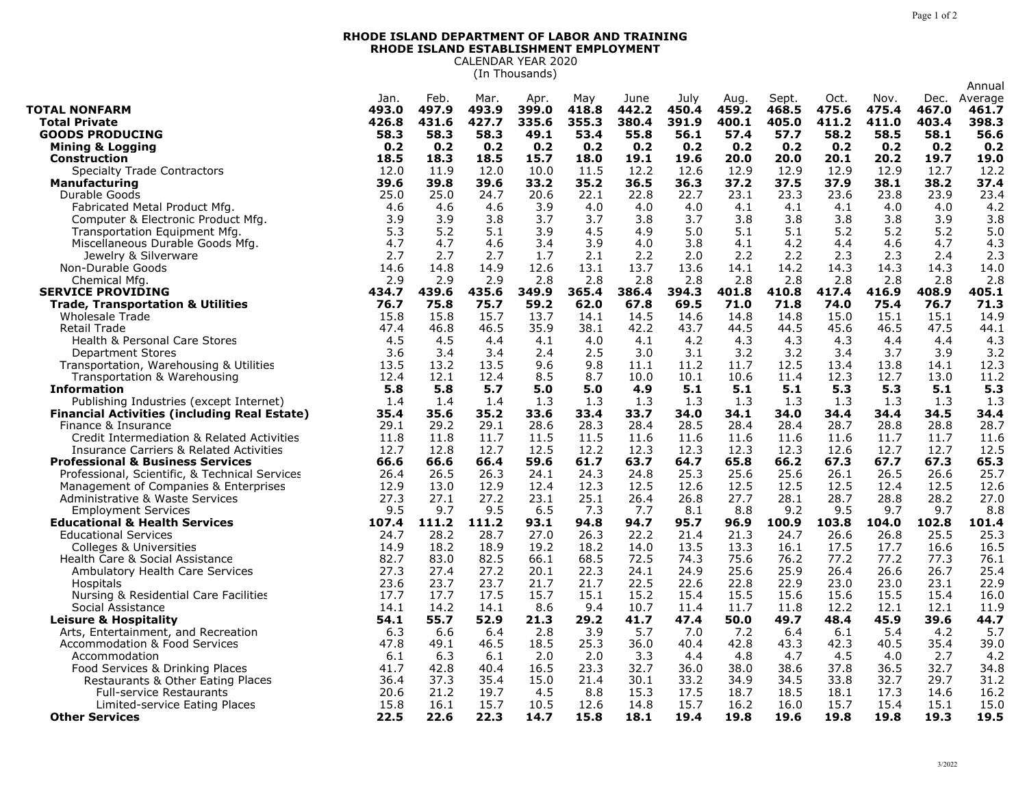## **RHODE ISLAND DEPARTMENT OF LABOR AND TRAINING RHODE ISLAND ESTABLISHMENT EMPLOYMENT** CALENDAR YEAR 2020

(In Thousands)

|                                                     |       |       |       |       |       |       |       |       |       |       |       |       | Annual  |
|-----------------------------------------------------|-------|-------|-------|-------|-------|-------|-------|-------|-------|-------|-------|-------|---------|
|                                                     | Jan.  | Feb.  | Mar.  | Apr.  | May   | June  | July  | Aug.  | Sept. | Oct.  | Nov.  | Dec.  | Average |
| <b>TOTAL NONFARM</b>                                | 493.0 | 497.9 | 493.9 | 399.0 | 418.8 | 442.2 | 450.4 | 459.2 | 468.5 | 475.6 | 475.4 | 467.0 | 461.7   |
| <b>Total Private</b>                                | 426.8 | 431.6 | 427.7 | 335.6 | 355.3 | 380.4 | 391.9 | 400.1 | 405.0 | 411.2 | 411.0 | 403.4 | 398.3   |
| <b>GOODS PRODUCING</b>                              | 58.3  | 58.3  | 58.3  | 49.1  | 53.4  | 55.8  | 56.1  | 57.4  | 57.7  | 58.2  | 58.5  | 58.1  | 56.6    |
| <b>Mining &amp; Logging</b>                         | 0.2   | 0.2   | 0.2   | 0.2   | 0.2   | 0.2   | 0.2   | 0.2   | 0.2   | 0.2   | 0.2   | 0.2   | 0.2     |
| <b>Construction</b>                                 | 18.5  | 18.3  | 18.5  | 15.7  | 18.0  | 19.1  | 19.6  | 20.0  | 20.0  | 20.1  | 20.2  | 19.7  | 19.0    |
| <b>Specialty Trade Contractors</b>                  | 12.0  | 11.9  | 12.0  | 10.0  | 11.5  | 12.2  | 12.6  | 12.9  | 12.9  | 12.9  | 12.9  | 12.7  | 12.2    |
| <b>Manufacturing</b>                                | 39.6  | 39.8  | 39.6  | 33.2  | 35.2  | 36.5  | 36.3  | 37.2  | 37.5  | 37.9  | 38.1  | 38.2  | 37.4    |
| Durable Goods                                       | 25.0  | 25.0  | 24.7  | 20.6  | 22.1  | 22.8  | 22.7  | 23.1  | 23.3  | 23.6  | 23.8  | 23.9  | 23.4    |
| Fabricated Metal Product Mfg.                       | 4.6   | 4.6   | 4.6   | 3.9   | 4.0   | 4.0   | 4.0   | 4.1   | 4.1   | 4.1   | 4.0   | 4.0   | 4.2     |
| Computer & Electronic Product Mfg.                  | 3.9   | 3.9   | 3.8   | 3.7   | 3.7   | 3.8   | 3.7   | 3.8   | 3.8   | 3.8   | 3.8   | 3.9   | 3.8     |
| Transportation Equipment Mfg.                       | 5.3   | 5.2   | 5.1   | 3.9   | 4.5   | 4.9   | 5.0   | 5.1   | 5.1   | 5.2   | 5.2   | 5.2   | 5.0     |
| Miscellaneous Durable Goods Mfg.                    | 4.7   | 4.7   | 4.6   | 3.4   | 3.9   | 4.0   | 3.8   | 4.1   | 4.2   | 4.4   | 4.6   | 4.7   | 4.3     |
| Jewelry & Silverware                                | 2.7   | 2.7   | 2.7   | 1.7   | 2.1   | 2.2   | 2.0   | 2.2   | 2.2   | 2.3   | 2.3   | 2.4   | 2.3     |
| Non-Durable Goods                                   | 14.6  | 14.8  | 14.9  | 12.6  | 13.1  | 13.7  | 13.6  | 14.1  | 14.2  | 14.3  | 14.3  | 14.3  | 14.0    |
| Chemical Mfg.                                       | 2.9   | 2.9   | 2.9   | 2.8   | 2.8   | 2.8   | 2.8   | 2.8   | 2.8   | 2.8   | 2.8   | 2.8   | 2.8     |
| <b>SERVICE PROVIDING</b>                            | 434.7 | 439.6 | 435.6 | 349.9 | 365.4 | 386.4 | 394.3 | 401.8 | 410.8 | 417.4 | 416.9 | 408.9 | 405.1   |
| <b>Trade, Transportation &amp; Utilities</b>        | 76.7  | 75.8  | 75.7  | 59.2  | 62.0  | 67.8  | 69.5  | 71.0  | 71.8  | 74.0  | 75.4  | 76.7  | 71.3    |
| <b>Wholesale Trade</b>                              | 15.8  | 15.8  | 15.7  | 13.7  | 14.1  | 14.5  | 14.6  | 14.8  | 14.8  | 15.0  | 15.1  | 15.1  | 14.9    |
| Retail Trade                                        | 47.4  | 46.8  | 46.5  | 35.9  | 38.1  | 42.2  | 43.7  | 44.5  | 44.5  | 45.6  | 46.5  | 47.5  | 44.1    |
| Health & Personal Care Stores                       | 4.5   | 4.5   | 4.4   | 4.1   | 4.0   | 4.1   | 4.2   | 4.3   | 4.3   | 4.3   | 4.4   | 4.4   | 4.3     |
| <b>Department Stores</b>                            | 3.6   | 3.4   | 3.4   | 2.4   | 2.5   | 3.0   | 3.1   | 3.2   | 3.2   | 3.4   | 3.7   | 3.9   | 3.2     |
| Transportation, Warehousing & Utilities             | 13.5  | 13.2  | 13.5  | 9.6   | 9.8   | 11.1  | 11.2  | 11.7  | 12.5  | 13.4  | 13.8  | 14.1  | 12.3    |
| Transportation & Warehousing                        | 12.4  | 12.1  | 12.4  | 8.5   | 8.7   | 10.0  | 10.1  | 10.6  | 11.4  | 12.3  | 12.7  | 13.0  | 11.2    |
| <b>Information</b>                                  | 5.8   | 5.8   | 5.7   | 5.0   | 5.0   | 4.9   | 5.1   | 5.1   | 5.1   | 5.3   | 5.3   | 5.1   | 5.3     |
| Publishing Industries (except Internet)             | 1.4   | 1.4   | 1.4   | 1.3   | 1.3   | 1.3   | 1.3   | 1.3   | 1.3   | 1.3   | 1.3   | 1.3   | 1.3     |
| <b>Financial Activities (including Real Estate)</b> | 35.4  | 35.6  | 35.2  | 33.6  | 33.4  | 33.7  | 34.0  | 34.1  | 34.0  | 34.4  | 34.4  | 34.5  | 34.4    |
| Finance & Insurance                                 | 29.1  | 29.2  | 29.1  | 28.6  | 28.3  | 28.4  | 28.5  | 28.4  | 28.4  | 28.7  | 28.8  | 28.8  | 28.7    |
| Credit Intermediation & Related Activities          | 11.8  | 11.8  | 11.7  | 11.5  | 11.5  | 11.6  | 11.6  | 11.6  | 11.6  | 11.6  | 11.7  | 11.7  | 11.6    |
| Insurance Carriers & Related Activities             | 12.7  | 12.8  | 12.7  | 12.5  | 12.2  | 12.3  | 12.3  | 12.3  | 12.3  | 12.6  | 12.7  | 12.7  | 12.5    |
| <b>Professional &amp; Business Services</b>         | 66.6  | 66.6  | 66.4  | 59.6  | 61.7  | 63.7  | 64.7  | 65.8  | 66.2  | 67.3  | 67.7  | 67.3  | 65.3    |
| Professional, Scientific, & Technical Services      | 26.4  | 26.5  | 26.3  | 24.1  | 24.3  | 24.8  | 25.3  | 25.6  | 25.6  | 26.1  | 26.5  | 26.6  | 25.7    |
| Management of Companies & Enterprises               | 12.9  | 13.0  | 12.9  | 12.4  | 12.3  | 12.5  | 12.6  | 12.5  | 12.5  | 12.5  | 12.4  | 12.5  | 12.6    |
| Administrative & Waste Services                     | 27.3  | 27.1  | 27.2  | 23.1  | 25.1  | 26.4  | 26.8  | 27.7  | 28.1  | 28.7  | 28.8  | 28.2  | 27.0    |
| <b>Employment Services</b>                          | 9.5   | 9.7   | 9.5   | 6.5   | 7.3   | 7.7   | 8.1   | 8.8   | 9.2   | 9.5   | 9.7   | 9.7   | 8.8     |
| <b>Educational &amp; Health Services</b>            | 107.4 | 111.2 | 111.2 | 93.1  | 94.8  | 94.7  | 95.7  | 96.9  | 100.9 | 103.8 | 104.0 | 102.8 | 101.4   |
| <b>Educational Services</b>                         | 24.7  | 28.2  | 28.7  | 27.0  | 26.3  | 22.2  | 21.4  | 21.3  | 24.7  | 26.6  | 26.8  | 25.5  | 25.3    |
| Colleges & Universities                             | 14.9  | 18.2  | 18.9  | 19.2  | 18.2  | 14.0  | 13.5  | 13.3  | 16.1  | 17.5  | 17.7  | 16.6  | 16.5    |
| Health Care & Social Assistance                     | 82.7  | 83.0  | 82.5  | 66.1  | 68.5  | 72.5  | 74.3  | 75.6  | 76.2  | 77.2  | 77.2  | 77.3  | 76.1    |
| Ambulatory Health Care Services                     | 27.3  | 27.4  | 27.2  | 20.1  | 22.3  | 24.1  | 24.9  | 25.6  | 25.9  | 26.4  | 26.6  | 26.7  | 25.4    |
| Hospitals                                           | 23.6  | 23.7  | 23.7  | 21.7  | 21.7  | 22.5  | 22.6  | 22.8  | 22.9  | 23.0  | 23.0  | 23.1  | 22.9    |
| Nursing & Residential Care Facilities               | 17.7  | 17.7  | 17.5  | 15.7  | 15.1  | 15.2  | 15.4  | 15.5  | 15.6  | 15.6  | 15.5  | 15.4  | 16.0    |
| Social Assistance                                   | 14.1  | 14.2  | 14.1  | 8.6   | 9.4   | 10.7  | 11.4  | 11.7  | 11.8  | 12.2  | 12.1  | 12.1  | 11.9    |
| Leisure & Hospitality                               | 54.1  | 55.7  | 52.9  | 21.3  | 29.2  | 41.7  | 47.4  | 50.0  | 49.7  | 48.4  | 45.9  | 39.6  | 44.7    |
| Arts, Entertainment, and Recreation                 | 6.3   | 6.6   | 6.4   | 2.8   | 3.9   | 5.7   | 7.0   | 7.2   | 6.4   | 6.1   | 5.4   | 4.2   | 5.7     |
| <b>Accommodation &amp; Food Services</b>            | 47.8  | 49.1  | 46.5  | 18.5  | 25.3  | 36.0  | 40.4  | 42.8  | 43.3  | 42.3  | 40.5  | 35.4  | 39.0    |
| Accommodation                                       | 6.1   | 6.3   | 6.1   | 2.0   | 2.0   | 3.3   | 4.4   | 4.8   | 4.7   | 4.5   | 4.0   | 2.7   | 4.2     |
| Food Services & Drinking Places                     | 41.7  | 42.8  | 40.4  | 16.5  | 23.3  | 32.7  | 36.0  | 38.0  | 38.6  | 37.8  | 36.5  | 32.7  | 34.8    |
| Restaurants & Other Eating Places                   | 36.4  | 37.3  | 35.4  | 15.0  | 21.4  | 30.1  | 33.2  | 34.9  | 34.5  | 33.8  | 32.7  | 29.7  | 31.2    |
| <b>Full-service Restaurants</b>                     | 20.6  | 21.2  | 19.7  | 4.5   | 8.8   | 15.3  | 17.5  | 18.7  | 18.5  | 18.1  | 17.3  | 14.6  | 16.2    |
| Limited-service Eating Places                       | 15.8  | 16.1  | 15.7  | 10.5  | 12.6  | 14.8  | 15.7  | 16.2  | 16.0  | 15.7  | 15.4  | 15.1  | 15.0    |
| <b>Other Services</b>                               | 22.5  | 22.6  | 22.3  | 14.7  | 15.8  | 18.1  | 19.4  | 19.8  | 19.6  | 19.8  | 19.8  | 19.3  | 19.5    |
|                                                     |       |       |       |       |       |       |       |       |       |       |       |       |         |